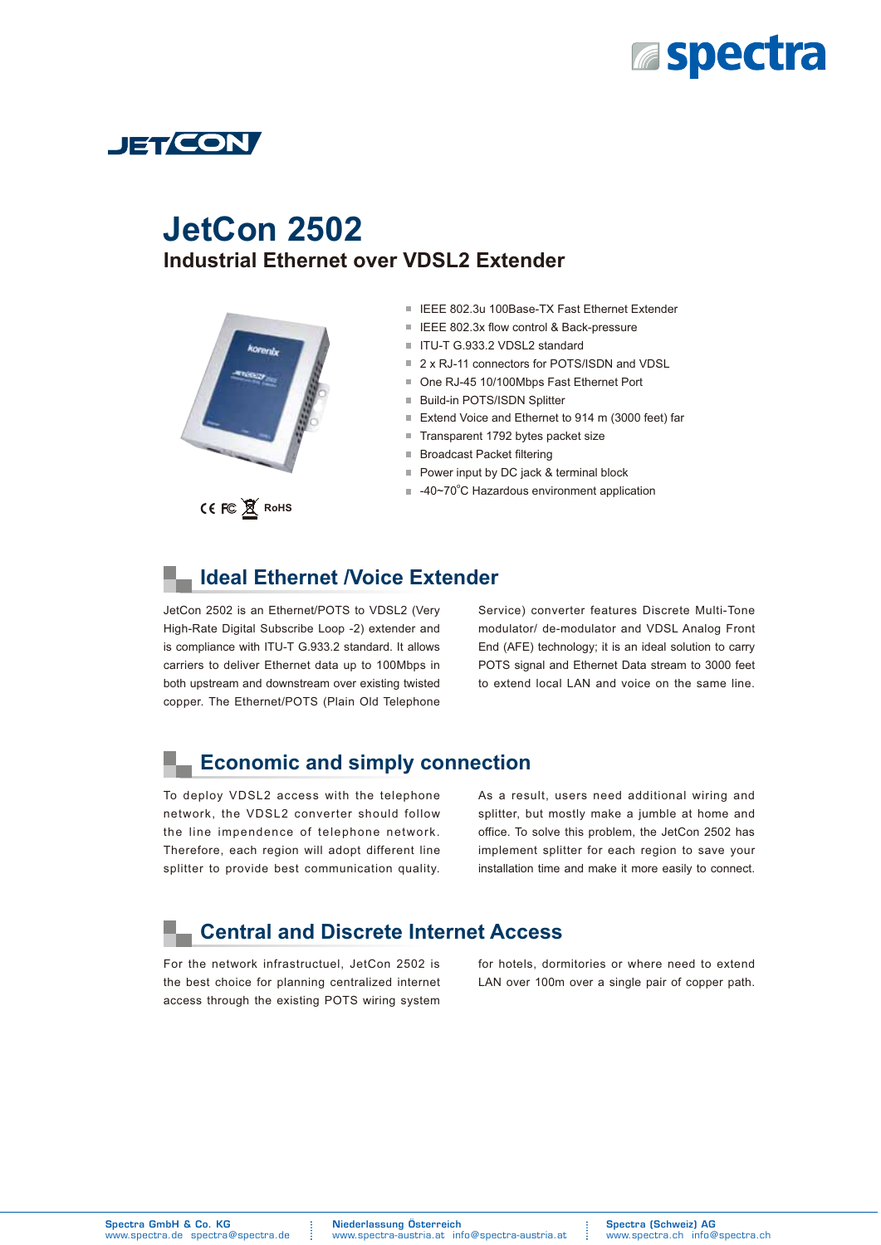



# **Industrial Ethernet over VDSL2 Extender JetCon 2502**



- IEEE 802.3u 100Base-TX Fast Ethernet Extender
- IEEE 802.3x flow control & Back-pressure
- ITU-T G.933.2 VDSL2 standard
- 2 x RJ-11 connectors for POTS/ISDN and VDSL
- One RJ-45 10/100Mbps Fast Ethernet Port
- Build-in POTS/ISDN Splitter
- Extend Voice and Ethernet to 914 m (3000 feet) far
- m. Transparent 1792 bytes packet size
- Broadcast Packet filtering m.
- Power input by DC jack & terminal block
- -40~70°C Hazardous environment application

### **Ideal Ethernet /Voice Extender**

JetCon 2502 is an Ethernet/POTS to VDSL2 (Very High-Rate Digital Subscribe Loop -2) extender and is compliance with ITU-T G.933.2 standard. It allows carriers to deliver Ethernet data up to 100Mbps in both upstream and downstream over existing twisted copper. The Ethernet/POTS (Plain Old Telephone

Service) converter features Discrete Multi-Tone modulator/ de-modulator and VDSL Analog Front End (AFE) technology; it is an ideal solution to carry POTS signal and Ethernet Data stream to 3000 feet to extend local LAN and voice on the same line.

### **Economic and simply connection**

To deploy VDSL2 access with the telephone network, the VDSL2 converter should follow the line impendence of telephone network. Therefore, each region will adopt different line splitter to provide best communication quality.

As a result, users need additional wiring and splitter, but mostly make a jumble at home and office. To solve this problem, the JetCon 2502 has implement splitter for each region to save your installation time and make it more easily to connect.

### **Central and Discrete Internet Access**

For the network infrastructuel, JetCon 2502 is the best choice for planning centralized internet access through the existing POTS wiring system for hotels, dormitories or where need to extend LAN over 100m over a single pair of copper path.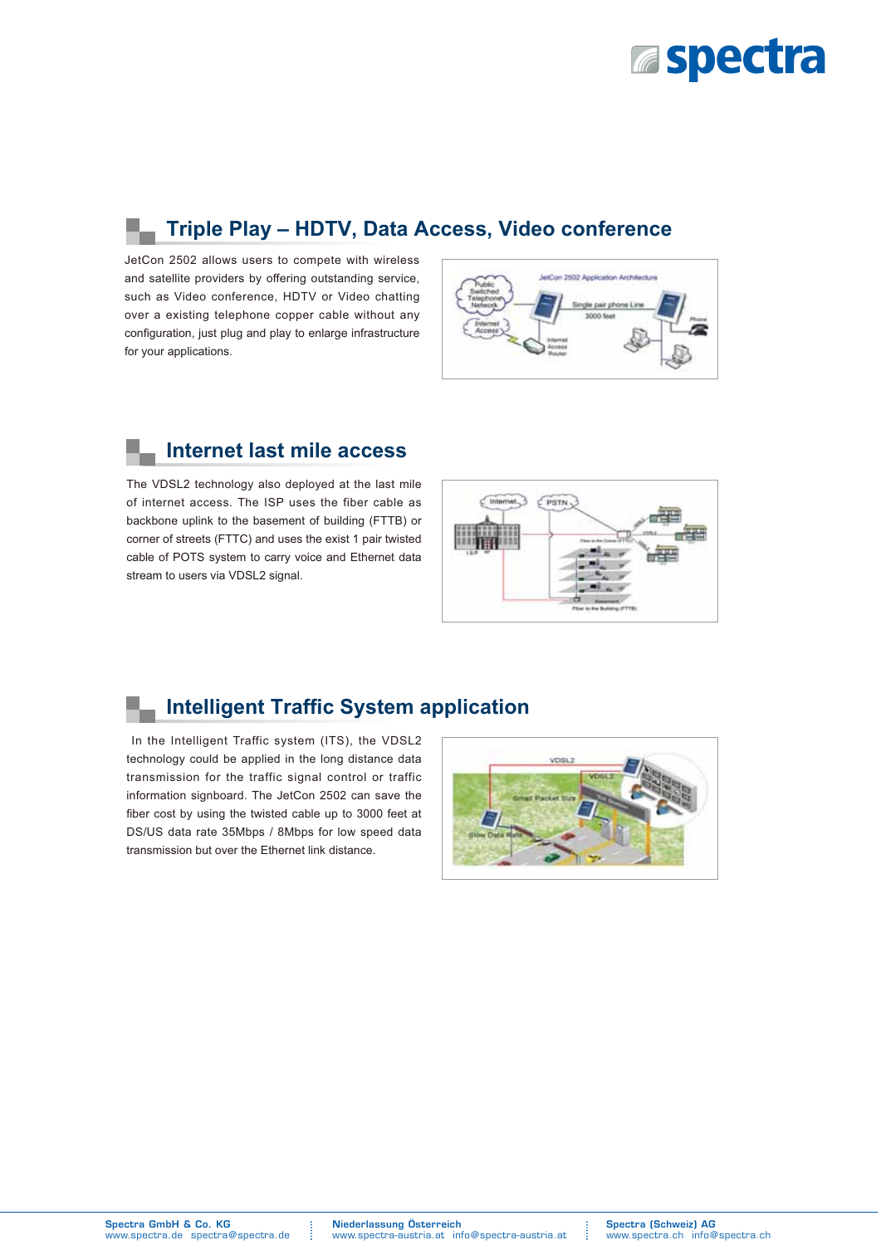

## **Triple Play – HDTV, Data Access, Video conference**

JetCon 2502 allows users to compete with wireless and satellite providers by offering outstanding service, such as Video conference, HDTV or Video chatting over a existing telephone copper cable without any configuration, just plug and play to enlarge infrastructure for your applications.



### **Internet last mile access**

The VDSL2 technology also deployed at the last mile of internet access. The ISP uses the fiber cable as backbone uplink to the basement of building (FTTB) or corner of streets (FTTC) and uses the exist 1 pair twisted cable of POTS system to carry voice and Ethernet data stream to users via VDSL2 signal.



## **Intelligent Traffic System application**

 In the Intelligent Traffic system (ITS), the VDSL2 technology could be applied in the long distance data transmission for the traffic signal control or traffic information signboard. The JetCon 2502 can save the fiber cost by using the twisted cable up to 3000 feet at DS/US data rate 35Mbps / 8Mbps for low speed data transmission but over the Ethernet link distance.

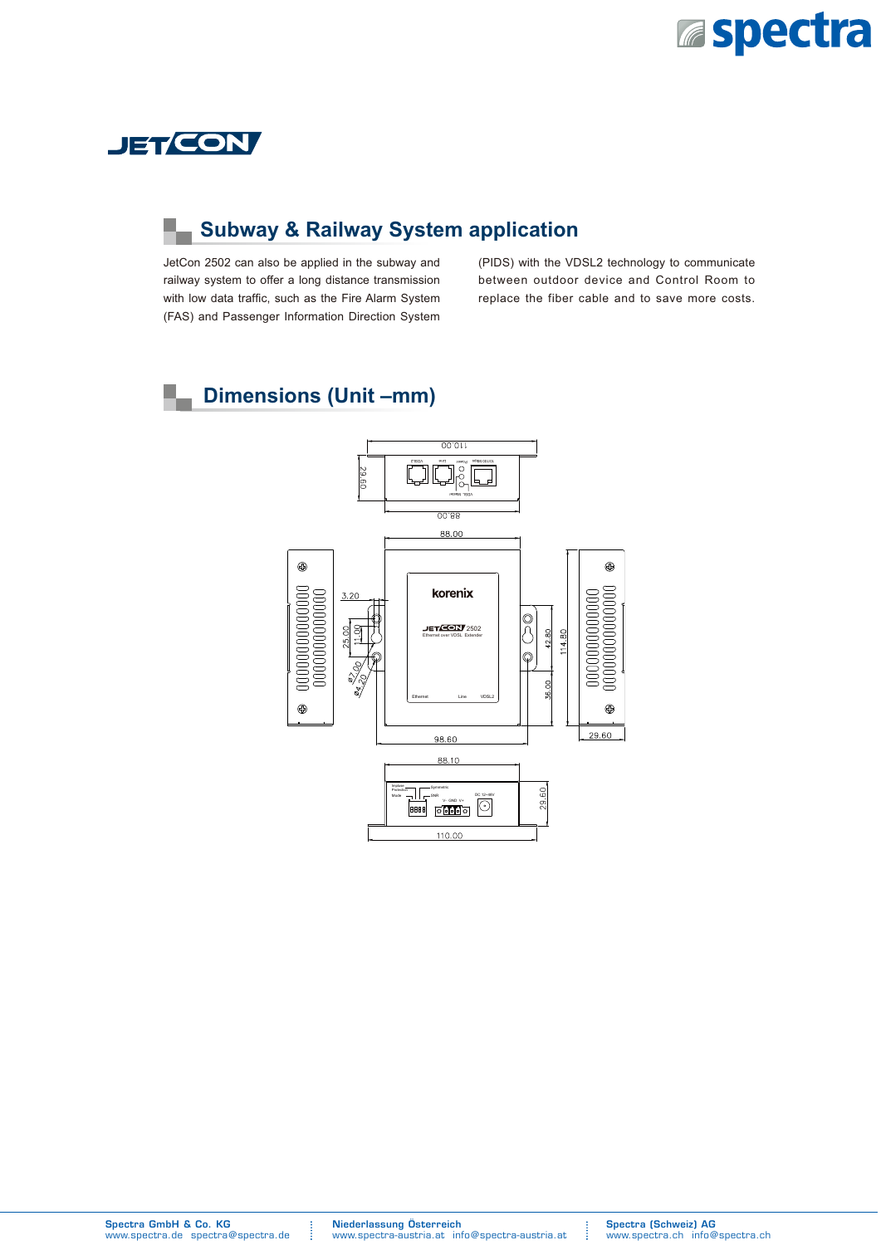



## **Subway & Railway System application**

JetCon 2502 can also be applied in the subway and railway system to offer a long distance transmission with low data traffic, such as the Fire Alarm System (FAS) and Passenger Information Direction System

(PIDS) with the VDSL2 technology to communicate between outdoor device and Control Room to replace the fiber cable and to save more costs.

#### **Dimensions (Unit –mm)** ш